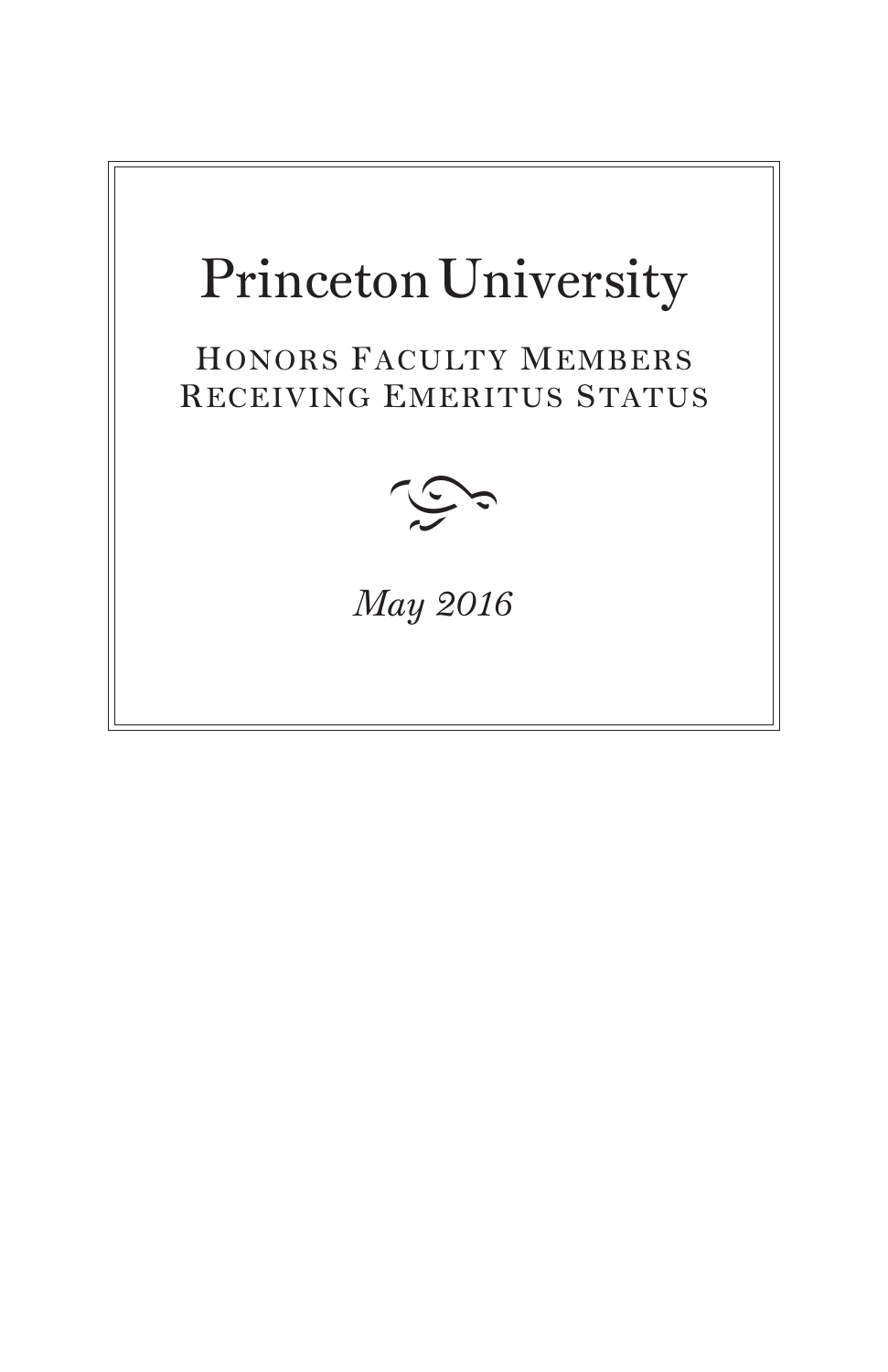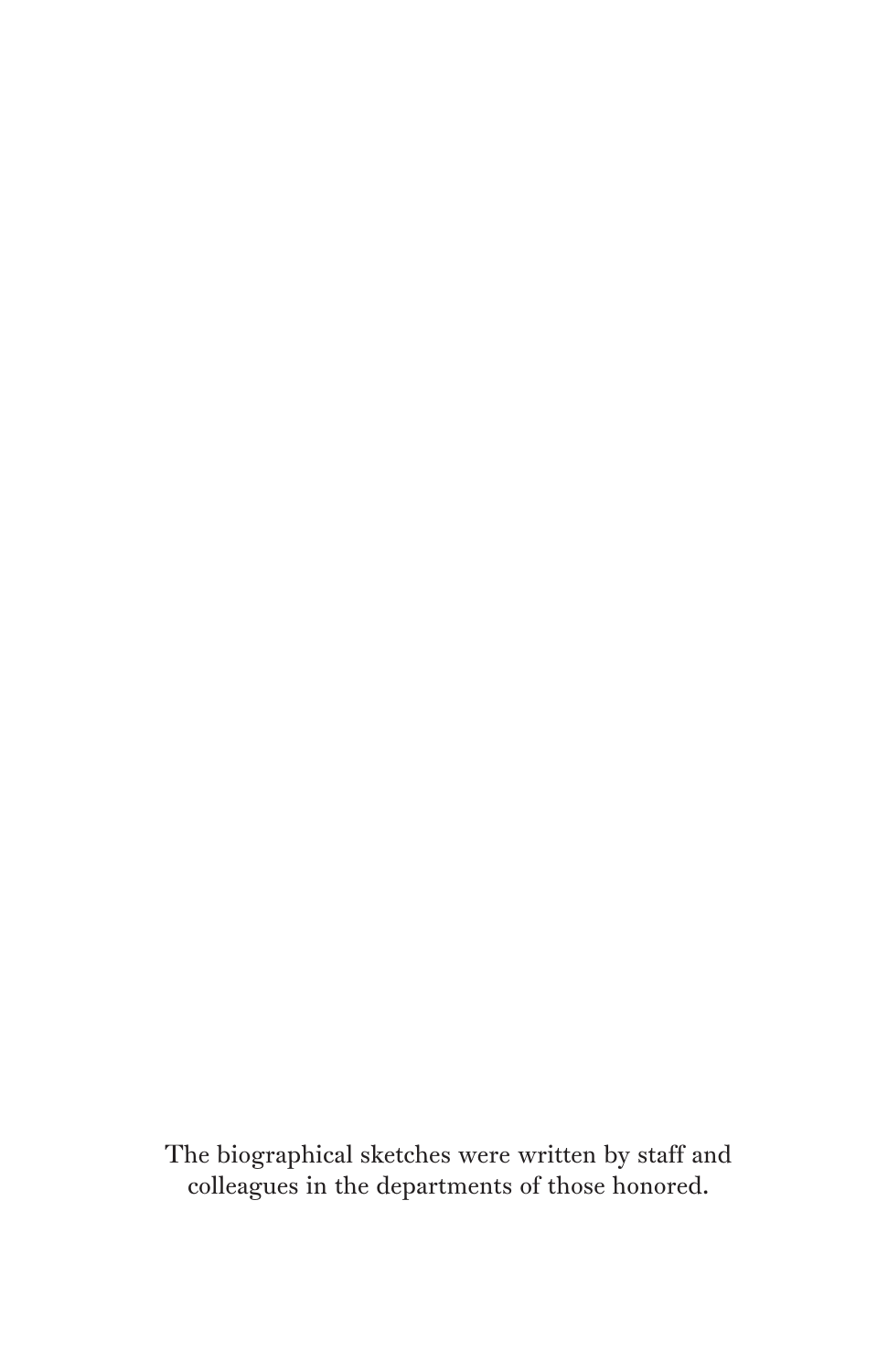The biographical sketches were written by staff and colleagues in the departments of those honored.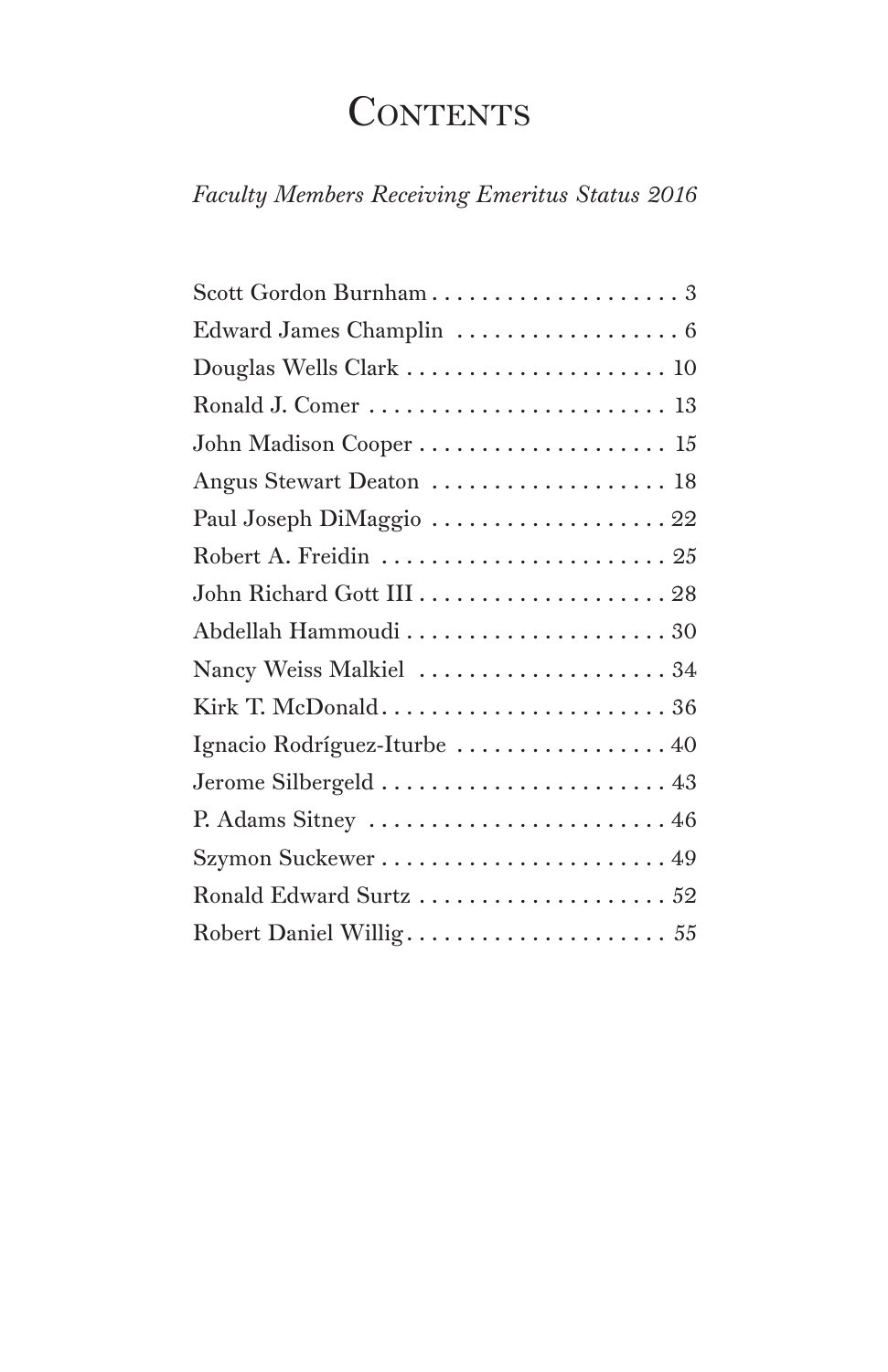## **CONTENTS**

*Faculty Members Receiving Emeritus Status 2016*

| Scott Gordon Burnham 3       |
|------------------------------|
| Edward James Champlin  6     |
| Douglas Wells Clark  10      |
|                              |
| John Madison Cooper  15      |
| Angus Stewart Deaton  18     |
| Paul Joseph DiMaggio  22     |
| Robert A. Freidin  25        |
|                              |
| Abdellah Hammoudi  30        |
| Nancy Weiss Malkiel  34      |
|                              |
| Ignacio Rodríguez-Iturbe  40 |
|                              |
| P. Adams Sitney  46          |
|                              |
| Ronald Edward Surtz  52      |
| Robert Daniel Willig 55      |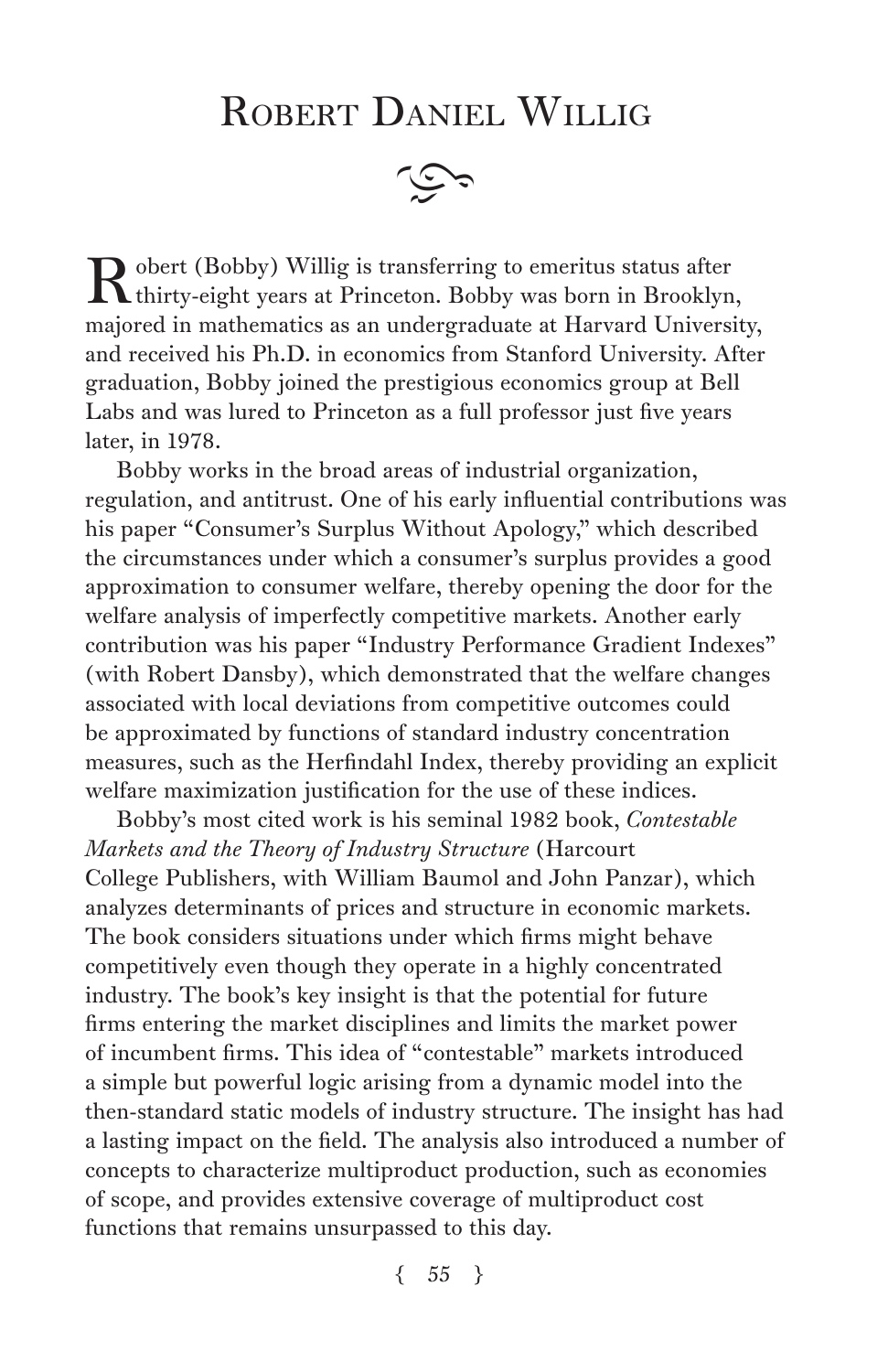## ROBERT DANIEL WILLIG



 $\mathbf R$  obert (Bobby) Willig is transferring to emeritus status after thirty-eight years at Princeton. Bobby was born in Brooklyn, majored in mathematics as an undergraduate at Harvard University, and received his Ph.D. in economics from Stanford University. After graduation, Bobby joined the prestigious economics group at Bell Labs and was lured to Princeton as a full professor just five years later, in 1978.

Bobby works in the broad areas of industrial organization, regulation, and antitrust. One of his early influential contributions was his paper "Consumer's Surplus Without Apology," which described the circumstances under which a consumer's surplus provides a good approximation to consumer welfare, thereby opening the door for the welfare analysis of imperfectly competitive markets. Another early contribution was his paper "Industry Performance Gradient Indexes" (with Robert Dansby), which demonstrated that the welfare changes associated with local deviations from competitive outcomes could be approximated by functions of standard industry concentration measures, such as the Herfindahl Index, thereby providing an explicit welfare maximization justification for the use of these indices.

Bobby's most cited work is his seminal 1982 book, *Contestable Markets and the Theory of Industry Structure* (Harcourt College Publishers, with William Baumol and John Panzar), which analyzes determinants of prices and structure in economic markets. The book considers situations under which firms might behave competitively even though they operate in a highly concentrated industry. The book's key insight is that the potential for future firms entering the market disciplines and limits the market power of incumbent firms. This idea of "contestable" markets introduced a simple but powerful logic arising from a dynamic model into the then-standard static models of industry structure. The insight has had a lasting impact on the field. The analysis also introduced a number of concepts to characterize multiproduct production, such as economies of scope, and provides extensive coverage of multiproduct cost functions that remains unsurpassed to this day.

 $\{55\}$